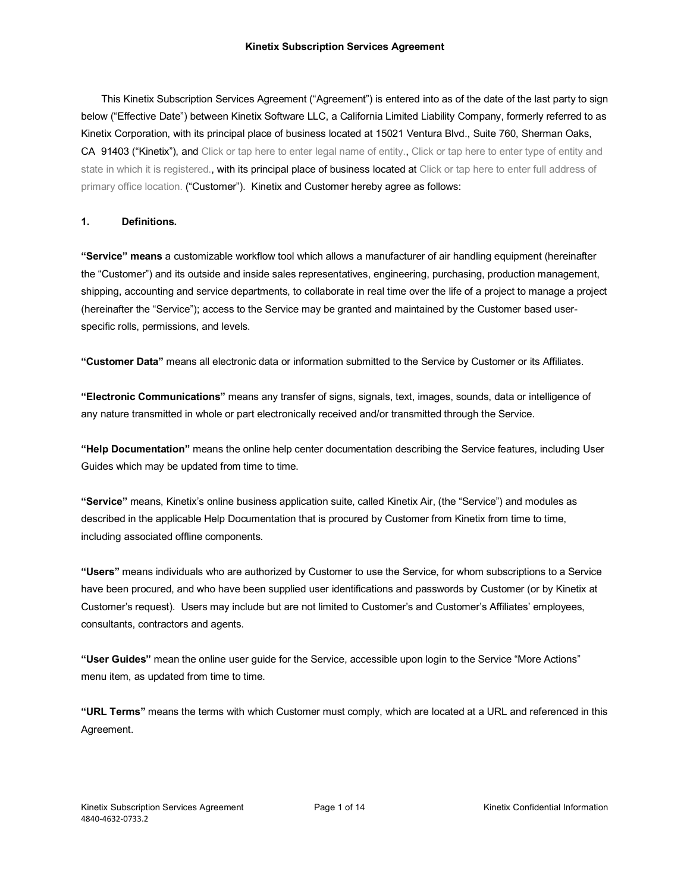This Kinetix Subscription Services Agreement ("Agreement") is entered into as of the date of the last party to sign below ("Effective Date") between Kinetix Software LLC, a California Limited Liability Company, formerly referred to as Kinetix Corporation, with its principal place of business located at 15021 Ventura Blvd., Suite 760, Sherman Oaks, CA 91403 ("Kinetix"), and Click or tap here to enter legal name of entity., Click or tap here to enter type of entity and state in which it is registered., with its principal place of business located at Click or tap here to enter full address of primary office location. ("Customer"). Kinetix and Customer hereby agree as follows:

## **1. Definitions.**

**"Service" means** a customizable workflow tool which allows a manufacturer of air handling equipment (hereinafter the "Customer") and its outside and inside sales representatives, engineering, purchasing, production management, shipping, accounting and service departments, to collaborate in real time over the life of a project to manage a project (hereinafter the "Service"); access to the Service may be granted and maintained by the Customer based userspecific rolls, permissions, and levels.

**"Customer Data"** means all electronic data or information submitted to the Service by Customer or its Affiliates.

**"Electronic Communications"** means any transfer of signs, signals, text, images, sounds, data or intelligence of any nature transmitted in whole or part electronically received and/or transmitted through the Service.

**"Help Documentation"** means the online help center documentation describing the Service features, including User Guides which may be updated from time to time.

**"Service"** means, Kinetix's online business application suite, called Kinetix Air, (the "Service") and modules as described in the applicable Help Documentation that is procured by Customer from Kinetix from time to time, including associated offline components.

**"Users"** means individuals who are authorized by Customer to use the Service, for whom subscriptions to a Service have been procured, and who have been supplied user identifications and passwords by Customer (or by Kinetix at Customer's request). Users may include but are not limited to Customer's and Customer's Affiliates' employees, consultants, contractors and agents.

**"User Guides"** mean the online user guide for the Service, accessible upon login to the Service "More Actions" menu item, as updated from time to time.

**"URL Terms"** means the terms with which Customer must comply, which are located at a URL and referenced in this Agreement.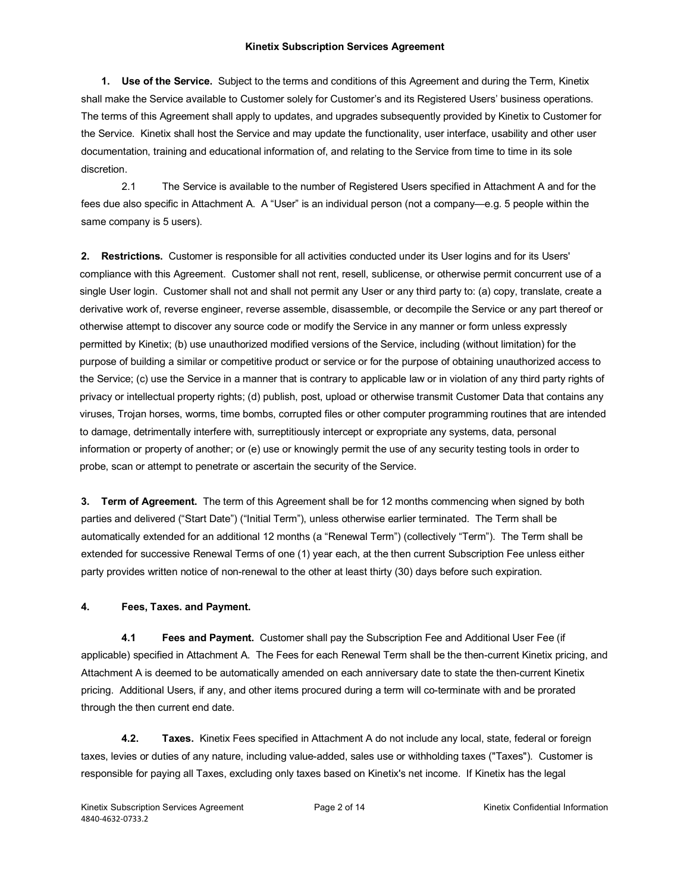**1. Use of the Service.** Subject to the terms and conditions of this Agreement and during the Term, Kinetix shall make the Service available to Customer solely for Customer's and its Registered Users' business operations. The terms of this Agreement shall apply to updates, and upgrades subsequently provided by Kinetix to Customer for the Service. Kinetix shall host the Service and may update the functionality, user interface, usability and other user documentation, training and educational information of, and relating to the Service from time to time in its sole discretion.

2.1 The Service is available to the number of Registered Users specified in Attachment A and for the fees due also specific in Attachment A. A "User" is an individual person (not a company—e.g. 5 people within the same company is 5 users).

**2. Restrictions.** Customer is responsible for all activities conducted under its User logins and for its Users' compliance with this Agreement. Customer shall not rent, resell, sublicense, or otherwise permit concurrent use of a single User login. Customer shall not and shall not permit any User or any third party to: (a) copy, translate, create a derivative work of, reverse engineer, reverse assemble, disassemble, or decompile the Service or any part thereof or otherwise attempt to discover any source code or modify the Service in any manner or form unless expressly permitted by Kinetix; (b) use unauthorized modified versions of the Service, including (without limitation) for the purpose of building a similar or competitive product or service or for the purpose of obtaining unauthorized access to the Service; (c) use the Service in a manner that is contrary to applicable law or in violation of any third party rights of privacy or intellectual property rights; (d) publish, post, upload or otherwise transmit Customer Data that contains any viruses, Trojan horses, worms, time bombs, corrupted files or other computer programming routines that are intended to damage, detrimentally interfere with, surreptitiously intercept or expropriate any systems, data, personal information or property of another; or (e) use or knowingly permit the use of any security testing tools in order to probe, scan or attempt to penetrate or ascertain the security of the Service.

**3. Term of Agreement.** The term of this Agreement shall be for 12 months commencing when signed by both parties and delivered ("Start Date") ("Initial Term"), unless otherwise earlier terminated. The Term shall be automatically extended for an additional 12 months (a "Renewal Term") (collectively "Term"). The Term shall be extended for successive Renewal Terms of one (1) year each, at the then current Subscription Fee unless either party provides written notice of non-renewal to the other at least thirty (30) days before such expiration.

### **4. Fees, Taxes. and Payment.**

**4.1 Fees and Payment.** Customer shall pay the Subscription Fee and Additional User Fee (if applicable) specified in Attachment A. The Fees for each Renewal Term shall be the then-current Kinetix pricing, and Attachment A is deemed to be automatically amended on each anniversary date to state the then-current Kinetix pricing. Additional Users, if any, and other items procured during a term will co-terminate with and be prorated through the then current end date.

**4.2. Taxes.** Kinetix Fees specified in Attachment A do not include any local, state, federal or foreign taxes, levies or duties of any nature, including value-added, sales use or withholding taxes ("Taxes"). Customer is responsible for paying all Taxes, excluding only taxes based on Kinetix's net income. If Kinetix has the legal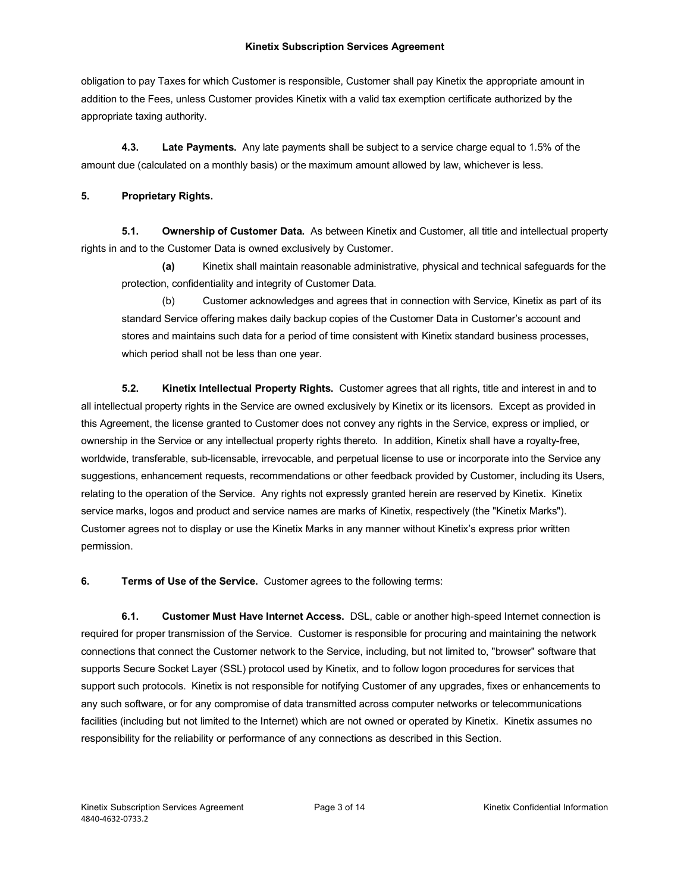obligation to pay Taxes for which Customer is responsible, Customer shall pay Kinetix the appropriate amount in addition to the Fees, unless Customer provides Kinetix with a valid tax exemption certificate authorized by the appropriate taxing authority.

**4.3. Late Payments.** Any late payments shall be subject to a service charge equal to 1.5% of the amount due (calculated on a monthly basis) or the maximum amount allowed by law, whichever is less.

## **5. Proprietary Rights.**

**5.1. Ownership of Customer Data.** As between Kinetix and Customer, all title and intellectual property rights in and to the Customer Data is owned exclusively by Customer.

**(a)** Kinetix shall maintain reasonable administrative, physical and technical safeguards for the protection, confidentiality and integrity of Customer Data.

(b) Customer acknowledges and agrees that in connection with Service, Kinetix as part of its standard Service offering makes daily backup copies of the Customer Data in Customer's account and stores and maintains such data for a period of time consistent with Kinetix standard business processes, which period shall not be less than one year.

**5.2. Kinetix Intellectual Property Rights.** Customer agrees that all rights, title and interest in and to all intellectual property rights in the Service are owned exclusively by Kinetix or its licensors. Except as provided in this Agreement, the license granted to Customer does not convey any rights in the Service, express or implied, or ownership in the Service or any intellectual property rights thereto. In addition, Kinetix shall have a royalty-free, worldwide, transferable, sub-licensable, irrevocable, and perpetual license to use or incorporate into the Service any suggestions, enhancement requests, recommendations or other feedback provided by Customer, including its Users, relating to the operation of the Service. Any rights not expressly granted herein are reserved by Kinetix. Kinetix service marks, logos and product and service names are marks of Kinetix, respectively (the "Kinetix Marks"). Customer agrees not to display or use the Kinetix Marks in any manner without Kinetix's express prior written permission.

**6. Terms of Use of the Service.** Customer agrees to the following terms:

**6.1. Customer Must Have Internet Access.** DSL, cable or another high-speed Internet connection is required for proper transmission of the Service. Customer is responsible for procuring and maintaining the network connections that connect the Customer network to the Service, including, but not limited to, "browser" software that supports Secure Socket Layer (SSL) protocol used by Kinetix, and to follow logon procedures for services that support such protocols. Kinetix is not responsible for notifying Customer of any upgrades, fixes or enhancements to any such software, or for any compromise of data transmitted across computer networks or telecommunications facilities (including but not limited to the Internet) which are not owned or operated by Kinetix. Kinetix assumes no responsibility for the reliability or performance of any connections as described in this Section.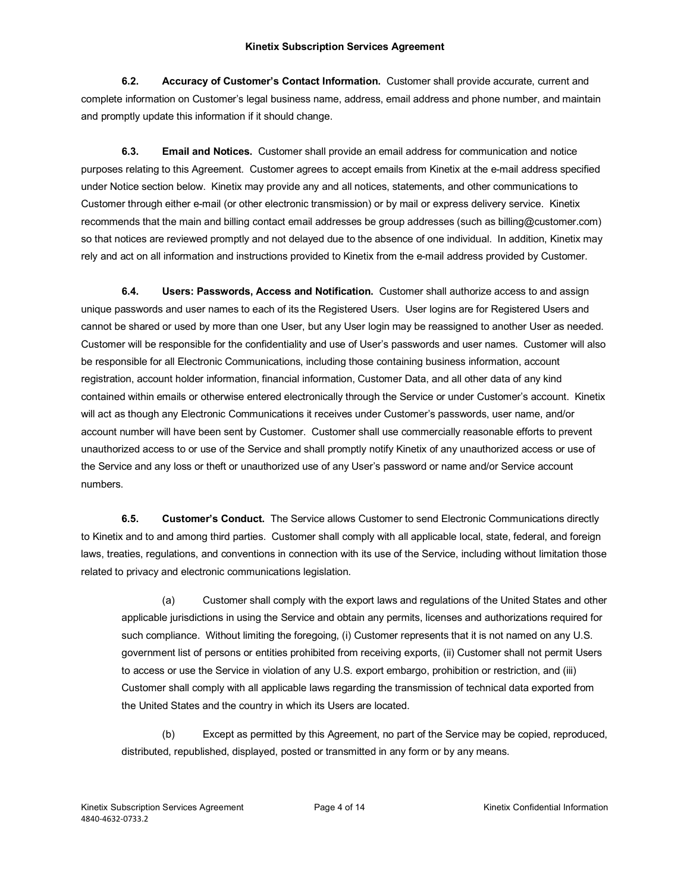**6.2. Accuracy of Customer's Contact Information.** Customer shall provide accurate, current and complete information on Customer's legal business name, address, email address and phone number, and maintain and promptly update this information if it should change.

**6.3. Email and Notices.** Customer shall provide an email address for communication and notice purposes relating to this Agreement. Customer agrees to accept emails from Kinetix at the e-mail address specified under Notice section below. Kinetix may provide any and all notices, statements, and other communications to Customer through either e-mail (or other electronic transmission) or by mail or express delivery service. Kinetix recommends that the main and billing contact email addresses be group addresses (such as billing@customer.com) so that notices are reviewed promptly and not delayed due to the absence of one individual. In addition, Kinetix may rely and act on all information and instructions provided to Kinetix from the e-mail address provided by Customer.

**6.4. Users: Passwords, Access and Notification.** Customer shall authorize access to and assign unique passwords and user names to each of its the Registered Users. User logins are for Registered Users and cannot be shared or used by more than one User, but any User login may be reassigned to another User as needed. Customer will be responsible for the confidentiality and use of User's passwords and user names. Customer will also be responsible for all Electronic Communications, including those containing business information, account registration, account holder information, financial information, Customer Data, and all other data of any kind contained within emails or otherwise entered electronically through the Service or under Customer's account. Kinetix will act as though any Electronic Communications it receives under Customer's passwords, user name, and/or account number will have been sent by Customer. Customer shall use commercially reasonable efforts to prevent unauthorized access to or use of the Service and shall promptly notify Kinetix of any unauthorized access or use of the Service and any loss or theft or unauthorized use of any User's password or name and/or Service account numbers.

**6.5. Customer's Conduct.** The Service allows Customer to send Electronic Communications directly to Kinetix and to and among third parties. Customer shall comply with all applicable local, state, federal, and foreign laws, treaties, regulations, and conventions in connection with its use of the Service, including without limitation those related to privacy and electronic communications legislation.

(a) Customer shall comply with the export laws and regulations of the United States and other applicable jurisdictions in using the Service and obtain any permits, licenses and authorizations required for such compliance. Without limiting the foregoing, (i) Customer represents that it is not named on any U.S. government list of persons or entities prohibited from receiving exports, (ii) Customer shall not permit Users to access or use the Service in violation of any U.S. export embargo, prohibition or restriction, and (iii) Customer shall comply with all applicable laws regarding the transmission of technical data exported from the United States and the country in which its Users are located.

(b) Except as permitted by this Agreement, no part of the Service may be copied, reproduced, distributed, republished, displayed, posted or transmitted in any form or by any means.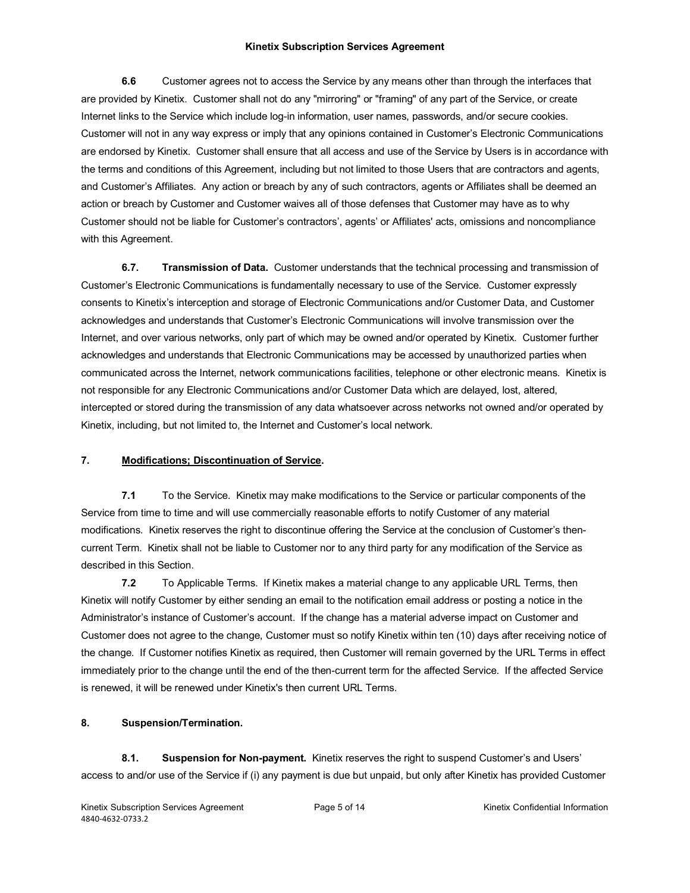**6.6** Customer agrees not to access the Service by any means other than through the interfaces that are provided by Kinetix. Customer shall not do any "mirroring" or "framing" of any part of the Service, or create Internet links to the Service which include log-in information, user names, passwords, and/or secure cookies. Customer will not in any way express or imply that any opinions contained in Customer's Electronic Communications are endorsed by Kinetix. Customer shall ensure that all access and use of the Service by Users is in accordance with the terms and conditions of this Agreement, including but not limited to those Users that are contractors and agents, and Customer's Affiliates. Any action or breach by any of such contractors, agents or Affiliates shall be deemed an action or breach by Customer and Customer waives all of those defenses that Customer may have as to why Customer should not be liable for Customer's contractors', agents' or Affiliates' acts, omissions and noncompliance with this Agreement.

**6.7. Transmission of Data.** Customer understands that the technical processing and transmission of Customer's Electronic Communications is fundamentally necessary to use of the Service. Customer expressly consents to Kinetix's interception and storage of Electronic Communications and/or Customer Data, and Customer acknowledges and understands that Customer's Electronic Communications will involve transmission over the Internet, and over various networks, only part of which may be owned and/or operated by Kinetix. Customer further acknowledges and understands that Electronic Communications may be accessed by unauthorized parties when communicated across the Internet, network communications facilities, telephone or other electronic means. Kinetix is not responsible for any Electronic Communications and/or Customer Data which are delayed, lost, altered, intercepted or stored during the transmission of any data whatsoever across networks not owned and/or operated by Kinetix, including, but not limited to, the Internet and Customer's local network.

## **7. Modifications; Discontinuation of Service.**

**7.1** To the Service. Kinetix may make modifications to the Service or particular components of the Service from time to time and will use commercially reasonable efforts to notify Customer of any material modifications. Kinetix reserves the right to discontinue offering the Service at the conclusion of Customer's thencurrent Term. Kinetix shall not be liable to Customer nor to any third party for any modification of the Service as described in this Section.

**7.2** To Applicable Terms. If Kinetix makes a material change to any applicable URL Terms, then Kinetix will notify Customer by either sending an email to the notification email address or posting a notice in the Administrator's instance of Customer's account. If the change has a material adverse impact on Customer and Customer does not agree to the change, Customer must so notify Kinetix within ten (10) days after receiving notice of the change. If Customer notifies Kinetix as required, then Customer will remain governed by the URL Terms in effect immediately prior to the change until the end of the then-current term for the affected Service. If the affected Service is renewed, it will be renewed under Kinetix's then current URL Terms.

## **8. Suspension/Termination.**

**8.1. Suspension for Non-payment.** Kinetix reserves the right to suspend Customer's and Users' access to and/or use of the Service if (i) any payment is due but unpaid, but only after Kinetix has provided Customer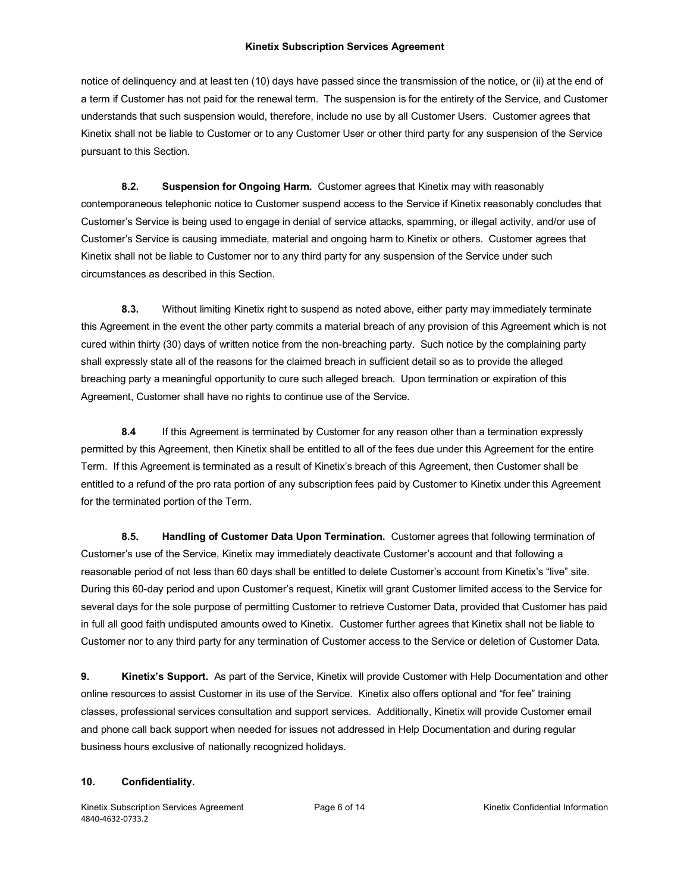notice of delinquency and at least ten (10) days have passed since the transmission of the notice, or (ii) at the end of a term if Customer has not paid for the renewal term. The suspension is for the entirety of the Service, and Customer understands that such suspension would, therefore, include no use by all Customer Users. Customer agrees that Kinetix shall not be liable to Customer or to any Customer User or other third party for any suspension of the Service pursuant to this Section.

**8.2. Suspension for Ongoing Harm.** Customer agrees that Kinetix may with reasonably contemporaneous telephonic notice to Customer suspend access to the Service if Kinetix reasonably concludes that Customer's Service is being used to engage in denial of service attacks, spamming, or illegal activity, and/or use of Customer's Service is causing immediate, material and ongoing harm to Kinetix or others. Customer agrees that Kinetix shall not be liable to Customer nor to any third party for any suspension of the Service under such circumstances as described in this Section.

**8.3.** Without limiting Kinetix right to suspend as noted above, either party may immediately terminate this Agreement in the event the other party commits a material breach of any provision of this Agreement which is not cured within thirty (30) days of written notice from the non-breaching party. Such notice by the complaining party shall expressly state all of the reasons for the claimed breach in sufficient detail so as to provide the alleged breaching party a meaningful opportunity to cure such alleged breach. Upon termination or expiration of this Agreement, Customer shall have no rights to continue use of the Service.

**8.4** If this Agreement is terminated by Customer for any reason other than a termination expressly permitted by this Agreement, then Kinetix shall be entitled to all of the fees due under this Agreement for the entire Term. If this Agreement is terminated as a result of Kinetix's breach of this Agreement, then Customer shall be entitled to a refund of the pro rata portion of any subscription fees paid by Customer to Kinetix under this Agreement for the terminated portion of the Term.

**8.5. Handling of Customer Data Upon Termination.** Customer agrees that following termination of Customer's use of the Service, Kinetix may immediately deactivate Customer's account and that following a reasonable period of not less than 60 days shall be entitled to delete Customer's account from Kinetix's "live" site. During this 60-day period and upon Customer's request, Kinetix will grant Customer limited access to the Service for several days for the sole purpose of permitting Customer to retrieve Customer Data, provided that Customer has paid in full all good faith undisputed amounts owed to Kinetix. Customer further agrees that Kinetix shall not be liable to Customer nor to any third party for any termination of Customer access to the Service or deletion of Customer Data.

**9. Kinetix's Support.** As part of the Service, Kinetix will provide Customer with Help Documentation and other online resources to assist Customer in its use of the Service. Kinetix also offers optional and "for fee" training classes, professional services consultation and support services. Additionally, Kinetix will provide Customer email and phone call back support when needed for issues not addressed in Help Documentation and during regular business hours exclusive of nationally recognized holidays.

### **10. Confidentiality.**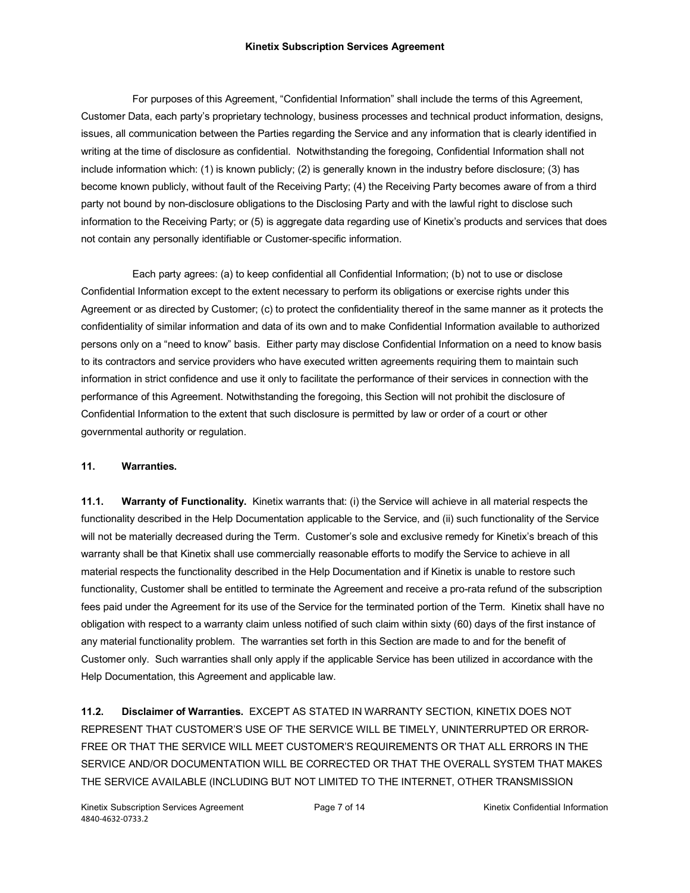For purposes of this Agreement, "Confidential Information" shall include the terms of this Agreement, Customer Data, each party's proprietary technology, business processes and technical product information, designs, issues, all communication between the Parties regarding the Service and any information that is clearly identified in writing at the time of disclosure as confidential. Notwithstanding the foregoing, Confidential Information shall not include information which: (1) is known publicly; (2) is generally known in the industry before disclosure; (3) has become known publicly, without fault of the Receiving Party; (4) the Receiving Party becomes aware of from a third party not bound by non-disclosure obligations to the Disclosing Party and with the lawful right to disclose such information to the Receiving Party; or (5) is aggregate data regarding use of Kinetix's products and services that does not contain any personally identifiable or Customer-specific information.

Each party agrees: (a) to keep confidential all Confidential Information; (b) not to use or disclose Confidential Information except to the extent necessary to perform its obligations or exercise rights under this Agreement or as directed by Customer; (c) to protect the confidentiality thereof in the same manner as it protects the confidentiality of similar information and data of its own and to make Confidential Information available to authorized persons only on a "need to know" basis. Either party may disclose Confidential Information on a need to know basis to its contractors and service providers who have executed written agreements requiring them to maintain such information in strict confidence and use it only to facilitate the performance of their services in connection with the performance of this Agreement. Notwithstanding the foregoing, this Section will not prohibit the disclosure of Confidential Information to the extent that such disclosure is permitted by law or order of a court or other governmental authority or regulation.

## **11. Warranties.**

**11.1. Warranty of Functionality.** Kinetix warrants that: (i) the Service will achieve in all material respects the functionality described in the Help Documentation applicable to the Service, and (ii) such functionality of the Service will not be materially decreased during the Term. Customer's sole and exclusive remedy for Kinetix's breach of this warranty shall be that Kinetix shall use commercially reasonable efforts to modify the Service to achieve in all material respects the functionality described in the Help Documentation and if Kinetix is unable to restore such functionality, Customer shall be entitled to terminate the Agreement and receive a pro-rata refund of the subscription fees paid under the Agreement for its use of the Service for the terminated portion of the Term. Kinetix shall have no obligation with respect to a warranty claim unless notified of such claim within sixty (60) days of the first instance of any material functionality problem. The warranties set forth in this Section are made to and for the benefit of Customer only. Such warranties shall only apply if the applicable Service has been utilized in accordance with the Help Documentation, this Agreement and applicable law.

**11.2. Disclaimer of Warranties.** EXCEPT AS STATED IN WARRANTY SECTION, KINETIX DOES NOT REPRESENT THAT CUSTOMER'S USE OF THE SERVICE WILL BE TIMELY, UNINTERRUPTED OR ERROR-FREE OR THAT THE SERVICE WILL MEET CUSTOMER'S REQUIREMENTS OR THAT ALL ERRORS IN THE SERVICE AND/OR DOCUMENTATION WILL BE CORRECTED OR THAT THE OVERALL SYSTEM THAT MAKES THE SERVICE AVAILABLE (INCLUDING BUT NOT LIMITED TO THE INTERNET, OTHER TRANSMISSION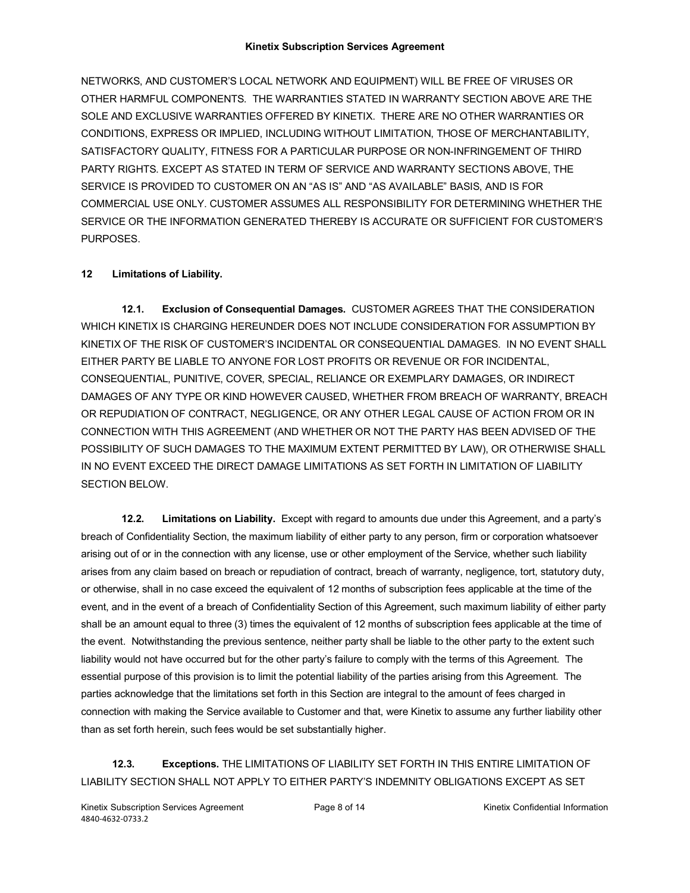NETWORKS, AND CUSTOMER'S LOCAL NETWORK AND EQUIPMENT) WILL BE FREE OF VIRUSES OR OTHER HARMFUL COMPONENTS. THE WARRANTIES STATED IN WARRANTY SECTION ABOVE ARE THE SOLE AND EXCLUSIVE WARRANTIES OFFERED BY KINETIX. THERE ARE NO OTHER WARRANTIES OR CONDITIONS, EXPRESS OR IMPLIED, INCLUDING WITHOUT LIMITATION, THOSE OF MERCHANTABILITY, SATISFACTORY QUALITY, FITNESS FOR A PARTICULAR PURPOSE OR NON-INFRINGEMENT OF THIRD PARTY RIGHTS. EXCEPT AS STATED IN TERM OF SERVICE AND WARRANTY SECTIONS ABOVE, THE SERVICE IS PROVIDED TO CUSTOMER ON AN "AS IS" AND "AS AVAILABLE" BASIS, AND IS FOR COMMERCIAL USE ONLY. CUSTOMER ASSUMES ALL RESPONSIBILITY FOR DETERMINING WHETHER THE SERVICE OR THE INFORMATION GENERATED THEREBY IS ACCURATE OR SUFFICIENT FOR CUSTOMER'S PURPOSES.

# **12 Limitations of Liability.**

**12.1. Exclusion of Consequential Damages.** CUSTOMER AGREES THAT THE CONSIDERATION WHICH KINETIX IS CHARGING HEREUNDER DOES NOT INCLUDE CONSIDERATION FOR ASSUMPTION BY KINETIX OF THE RISK OF CUSTOMER'S INCIDENTAL OR CONSEQUENTIAL DAMAGES. IN NO EVENT SHALL EITHER PARTY BE LIABLE TO ANYONE FOR LOST PROFITS OR REVENUE OR FOR INCIDENTAL, CONSEQUENTIAL, PUNITIVE, COVER, SPECIAL, RELIANCE OR EXEMPLARY DAMAGES, OR INDIRECT DAMAGES OF ANY TYPE OR KIND HOWEVER CAUSED, WHETHER FROM BREACH OF WARRANTY, BREACH OR REPUDIATION OF CONTRACT, NEGLIGENCE, OR ANY OTHER LEGAL CAUSE OF ACTION FROM OR IN CONNECTION WITH THIS AGREEMENT (AND WHETHER OR NOT THE PARTY HAS BEEN ADVISED OF THE POSSIBILITY OF SUCH DAMAGES TO THE MAXIMUM EXTENT PERMITTED BY LAW), OR OTHERWISE SHALL IN NO EVENT EXCEED THE DIRECT DAMAGE LIMITATIONS AS SET FORTH IN LIMITATION OF LIABILITY SECTION BELOW.

**12.2. Limitations on Liability.** Except with regard to amounts due under this Agreement, and a party's breach of Confidentiality Section, the maximum liability of either party to any person, firm or corporation whatsoever arising out of or in the connection with any license, use or other employment of the Service, whether such liability arises from any claim based on breach or repudiation of contract, breach of warranty, negligence, tort, statutory duty, or otherwise, shall in no case exceed the equivalent of 12 months of subscription fees applicable at the time of the event, and in the event of a breach of Confidentiality Section of this Agreement, such maximum liability of either party shall be an amount equal to three (3) times the equivalent of 12 months of subscription fees applicable at the time of the event. Notwithstanding the previous sentence, neither party shall be liable to the other party to the extent such liability would not have occurred but for the other party's failure to comply with the terms of this Agreement. The essential purpose of this provision is to limit the potential liability of the parties arising from this Agreement. The parties acknowledge that the limitations set forth in this Section are integral to the amount of fees charged in connection with making the Service available to Customer and that, were Kinetix to assume any further liability other than as set forth herein, such fees would be set substantially higher.

**12.3. Exceptions.** THE LIMITATIONS OF LIABILITY SET FORTH IN THIS ENTIRE LIMITATION OF LIABILITY SECTION SHALL NOT APPLY TO EITHER PARTY'S INDEMNITY OBLIGATIONS EXCEPT AS SET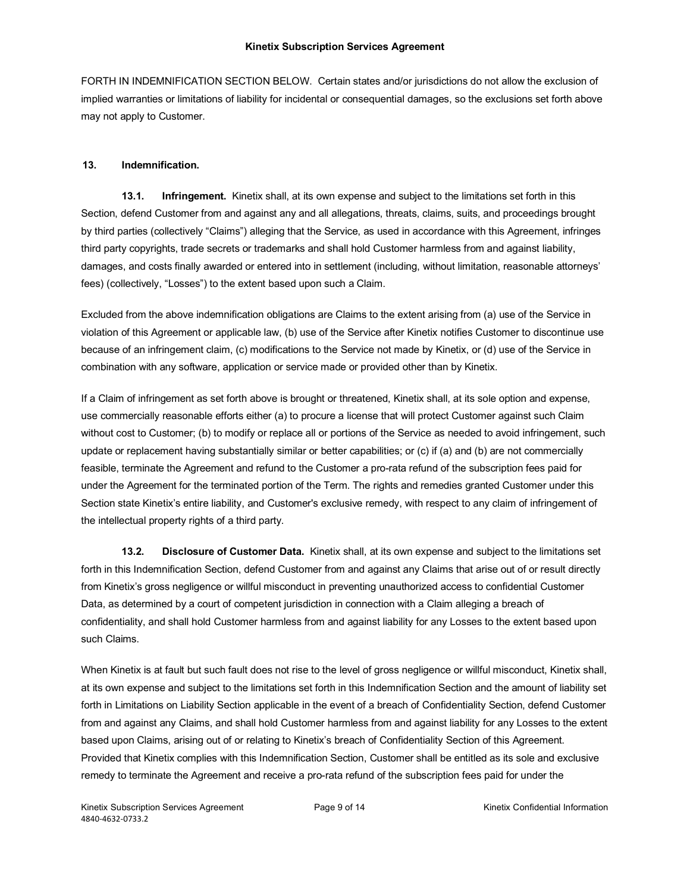FORTH IN INDEMNIFICATION SECTION BELOW. Certain states and/or jurisdictions do not allow the exclusion of implied warranties or limitations of liability for incidental or consequential damages, so the exclusions set forth above may not apply to Customer.

## **13. Indemnification.**

**13.1. Infringement.** Kinetix shall, at its own expense and subject to the limitations set forth in this Section, defend Customer from and against any and all allegations, threats, claims, suits, and proceedings brought by third parties (collectively "Claims") alleging that the Service, as used in accordance with this Agreement, infringes third party copyrights, trade secrets or trademarks and shall hold Customer harmless from and against liability, damages, and costs finally awarded or entered into in settlement (including, without limitation, reasonable attorneys' fees) (collectively, "Losses") to the extent based upon such a Claim.

Excluded from the above indemnification obligations are Claims to the extent arising from (a) use of the Service in violation of this Agreement or applicable law, (b) use of the Service after Kinetix notifies Customer to discontinue use because of an infringement claim, (c) modifications to the Service not made by Kinetix, or (d) use of the Service in combination with any software, application or service made or provided other than by Kinetix.

If a Claim of infringement as set forth above is brought or threatened, Kinetix shall, at its sole option and expense, use commercially reasonable efforts either (a) to procure a license that will protect Customer against such Claim without cost to Customer; (b) to modify or replace all or portions of the Service as needed to avoid infringement, such update or replacement having substantially similar or better capabilities; or (c) if (a) and (b) are not commercially feasible, terminate the Agreement and refund to the Customer a pro-rata refund of the subscription fees paid for under the Agreement for the terminated portion of the Term. The rights and remedies granted Customer under this Section state Kinetix's entire liability, and Customer's exclusive remedy, with respect to any claim of infringement of the intellectual property rights of a third party.

**13.2. Disclosure of Customer Data.** Kinetix shall, at its own expense and subject to the limitations set forth in this Indemnification Section, defend Customer from and against any Claims that arise out of or result directly from Kinetix's gross negligence or willful misconduct in preventing unauthorized access to confidential Customer Data, as determined by a court of competent jurisdiction in connection with a Claim alleging a breach of confidentiality, and shall hold Customer harmless from and against liability for any Losses to the extent based upon such Claims.

When Kinetix is at fault but such fault does not rise to the level of gross negligence or willful misconduct, Kinetix shall, at its own expense and subject to the limitations set forth in this Indemnification Section and the amount of liability set forth in Limitations on Liability Section applicable in the event of a breach of Confidentiality Section, defend Customer from and against any Claims, and shall hold Customer harmless from and against liability for any Losses to the extent based upon Claims, arising out of or relating to Kinetix's breach of Confidentiality Section of this Agreement. Provided that Kinetix complies with this Indemnification Section, Customer shall be entitled as its sole and exclusive remedy to terminate the Agreement and receive a pro-rata refund of the subscription fees paid for under the

Kinetix Subscription Services Agreement **Page 9 of 14** All Page 9 of 14 Kinetix Confidential Information 4840-4632-0733.2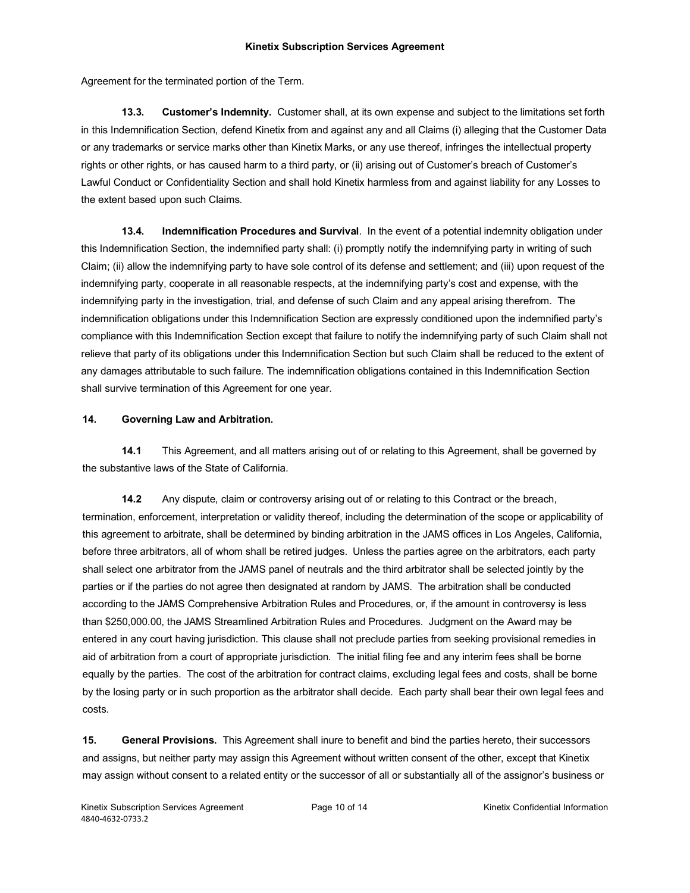Agreement for the terminated portion of the Term.

**13.3. Customer's Indemnity.** Customer shall, at its own expense and subject to the limitations set forth in this Indemnification Section, defend Kinetix from and against any and all Claims (i) alleging that the Customer Data or any trademarks or service marks other than Kinetix Marks, or any use thereof, infringes the intellectual property rights or other rights, or has caused harm to a third party, or (ii) arising out of Customer's breach of Customer's Lawful Conduct or Confidentiality Section and shall hold Kinetix harmless from and against liability for any Losses to the extent based upon such Claims.

**13.4. Indemnification Procedures and Survival**. In the event of a potential indemnity obligation under this Indemnification Section, the indemnified party shall: (i) promptly notify the indemnifying party in writing of such Claim; (ii) allow the indemnifying party to have sole control of its defense and settlement; and (iii) upon request of the indemnifying party, cooperate in all reasonable respects, at the indemnifying party's cost and expense, with the indemnifying party in the investigation, trial, and defense of such Claim and any appeal arising therefrom. The indemnification obligations under this Indemnification Section are expressly conditioned upon the indemnified party's compliance with this Indemnification Section except that failure to notify the indemnifying party of such Claim shall not relieve that party of its obligations under this Indemnification Section but such Claim shall be reduced to the extent of any damages attributable to such failure. The indemnification obligations contained in this Indemnification Section shall survive termination of this Agreement for one year.

### **14. Governing Law and Arbitration.**

**14.1** This Agreement, and all matters arising out of or relating to this Agreement, shall be governed by the substantive laws of the State of California.

**14.2** Any dispute, claim or controversy arising out of or relating to this Contract or the breach, termination, enforcement, interpretation or validity thereof, including the determination of the scope or applicability of this agreement to arbitrate, shall be determined by binding arbitration in the JAMS offices in Los Angeles, California, before three arbitrators, all of whom shall be retired judges. Unless the parties agree on the arbitrators, each party shall select one arbitrator from the JAMS panel of neutrals and the third arbitrator shall be selected jointly by the parties or if the parties do not agree then designated at random by JAMS. The arbitration shall be conducted according to the JAMS Comprehensive Arbitration Rules and Procedures, or, if the amount in controversy is less than \$250,000.00, the JAMS Streamlined Arbitration Rules and Procedures. Judgment on the Award may be entered in any court having jurisdiction. This clause shall not preclude parties from seeking provisional remedies in aid of arbitration from a court of appropriate jurisdiction. The initial filing fee and any interim fees shall be borne equally by the parties. The cost of the arbitration for contract claims, excluding legal fees and costs, shall be borne by the losing party or in such proportion as the arbitrator shall decide. Each party shall bear their own legal fees and costs.

**15. General Provisions.** This Agreement shall inure to benefit and bind the parties hereto, their successors and assigns, but neither party may assign this Agreement without written consent of the other, except that Kinetix may assign without consent to a related entity or the successor of all or substantially all of the assignor's business or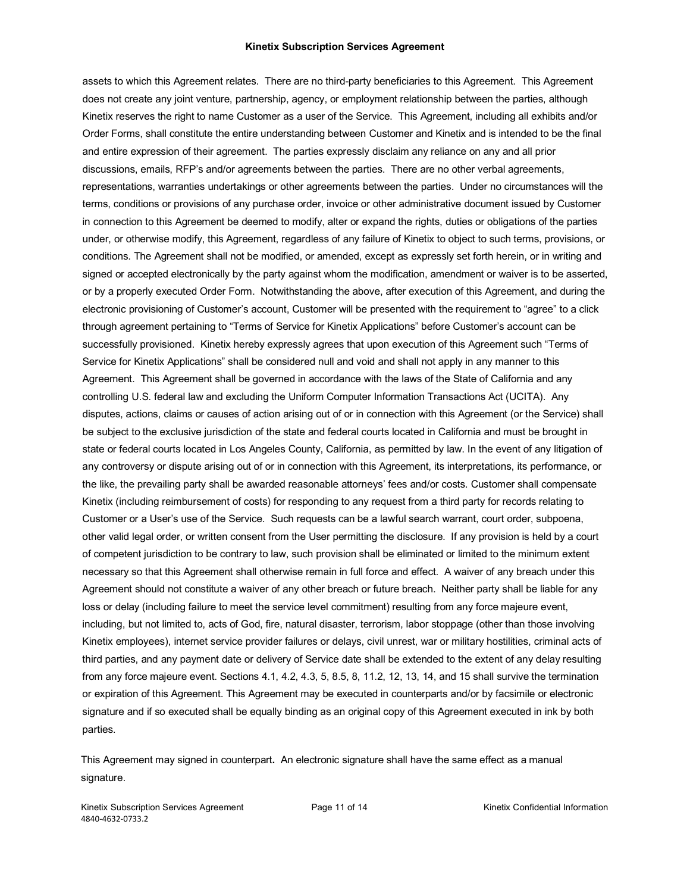assets to which this Agreement relates. There are no third-party beneficiaries to this Agreement. This Agreement does not create any joint venture, partnership, agency, or employment relationship between the parties, although Kinetix reserves the right to name Customer as a user of the Service. This Agreement, including all exhibits and/or Order Forms, shall constitute the entire understanding between Customer and Kinetix and is intended to be the final and entire expression of their agreement. The parties expressly disclaim any reliance on any and all prior discussions, emails, RFP's and/or agreements between the parties. There are no other verbal agreements, representations, warranties undertakings or other agreements between the parties. Under no circumstances will the terms, conditions or provisions of any purchase order, invoice or other administrative document issued by Customer in connection to this Agreement be deemed to modify, alter or expand the rights, duties or obligations of the parties under, or otherwise modify, this Agreement, regardless of any failure of Kinetix to object to such terms, provisions, or conditions. The Agreement shall not be modified, or amended, except as expressly set forth herein, or in writing and signed or accepted electronically by the party against whom the modification, amendment or waiver is to be asserted, or by a properly executed Order Form. Notwithstanding the above, after execution of this Agreement, and during the electronic provisioning of Customer's account, Customer will be presented with the requirement to "agree" to a click through agreement pertaining to "Terms of Service for Kinetix Applications" before Customer's account can be successfully provisioned. Kinetix hereby expressly agrees that upon execution of this Agreement such "Terms of Service for Kinetix Applications" shall be considered null and void and shall not apply in any manner to this Agreement. This Agreement shall be governed in accordance with the laws of the State of California and any controlling U.S. federal law and excluding the Uniform Computer Information Transactions Act (UCITA). Any disputes, actions, claims or causes of action arising out of or in connection with this Agreement (or the Service) shall be subject to the exclusive jurisdiction of the state and federal courts located in California and must be brought in state or federal courts located in Los Angeles County, California, as permitted by law. In the event of any litigation of any controversy or dispute arising out of or in connection with this Agreement, its interpretations, its performance, or the like, the prevailing party shall be awarded reasonable attorneys' fees and/or costs. Customer shall compensate Kinetix (including reimbursement of costs) for responding to any request from a third party for records relating to Customer or a User's use of the Service. Such requests can be a lawful search warrant, court order, subpoena, other valid legal order, or written consent from the User permitting the disclosure. If any provision is held by a court of competent jurisdiction to be contrary to law, such provision shall be eliminated or limited to the minimum extent necessary so that this Agreement shall otherwise remain in full force and effect. A waiver of any breach under this Agreement should not constitute a waiver of any other breach or future breach. Neither party shall be liable for any loss or delay (including failure to meet the service level commitment) resulting from any force majeure event, including, but not limited to, acts of God, fire, natural disaster, terrorism, labor stoppage (other than those involving Kinetix employees), internet service provider failures or delays, civil unrest, war or military hostilities, criminal acts of third parties, and any payment date or delivery of Service date shall be extended to the extent of any delay resulting from any force majeure event. Sections 4.1, 4.2, 4.3, 5, 8.5, 8, 11.2, 12, 13, 14, and 15 shall survive the termination or expiration of this Agreement. This Agreement may be executed in counterparts and/or by facsimile or electronic signature and if so executed shall be equally binding as an original copy of this Agreement executed in ink by both parties.

This Agreement may signed in counterpart**.** An electronic signature shall have the same effect as a manual signature.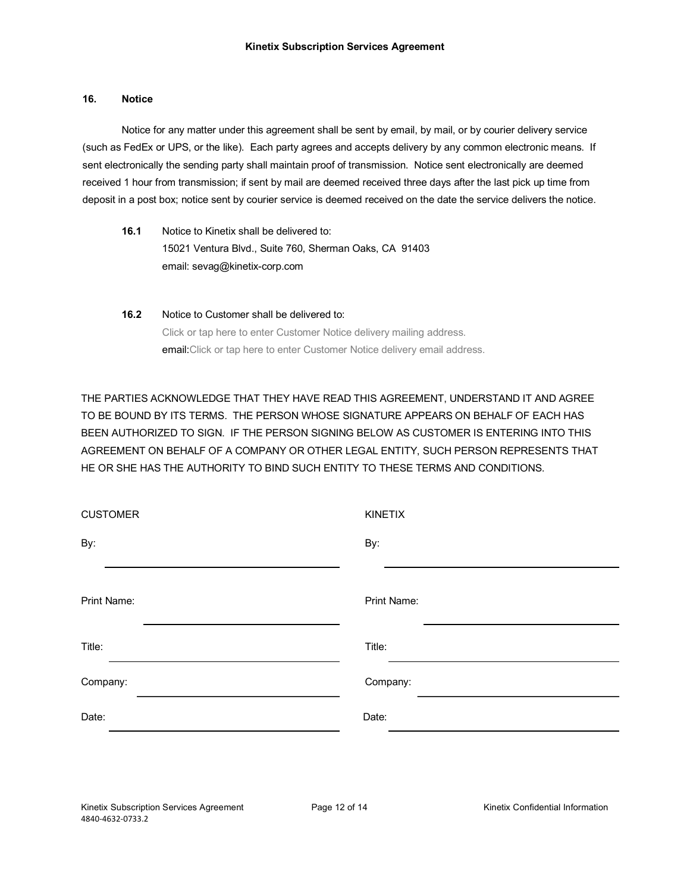### **16. Notice**

Notice for any matter under this agreement shall be sent by email, by mail, or by courier delivery service (such as FedEx or UPS, or the like). Each party agrees and accepts delivery by any common electronic means. If sent electronically the sending party shall maintain proof of transmission. Notice sent electronically are deemed received 1 hour from transmission; if sent by mail are deemed received three days after the last pick up time from deposit in a post box; notice sent by courier service is deemed received on the date the service delivers the notice.

- **16.1** Notice to Kinetix shall be delivered to: 15021 Ventura Blvd., Suite 760, Sherman Oaks, CA 91403 email: sevag@kinetix-corp.com
- **16.2** Notice to Customer shall be delivered to: Click or tap here to enter Customer Notice delivery mailing address. email:Click or tap here to enter Customer Notice delivery email address.

THE PARTIES ACKNOWLEDGE THAT THEY HAVE READ THIS AGREEMENT, UNDERSTAND IT AND AGREE TO BE BOUND BY ITS TERMS. THE PERSON WHOSE SIGNATURE APPEARS ON BEHALF OF EACH HAS BEEN AUTHORIZED TO SIGN. IF THE PERSON SIGNING BELOW AS CUSTOMER IS ENTERING INTO THIS AGREEMENT ON BEHALF OF A COMPANY OR OTHER LEGAL ENTITY, SUCH PERSON REPRESENTS THAT HE OR SHE HAS THE AUTHORITY TO BIND SUCH ENTITY TO THESE TERMS AND CONDITIONS.

| <b>CUSTOMER</b> | KINETIX     |
|-----------------|-------------|
| By:             | By:         |
| Print Name:     | Print Name: |
| Title:          | Title:      |
| Company:        | Company:    |
| Date:           | Date:       |
|                 |             |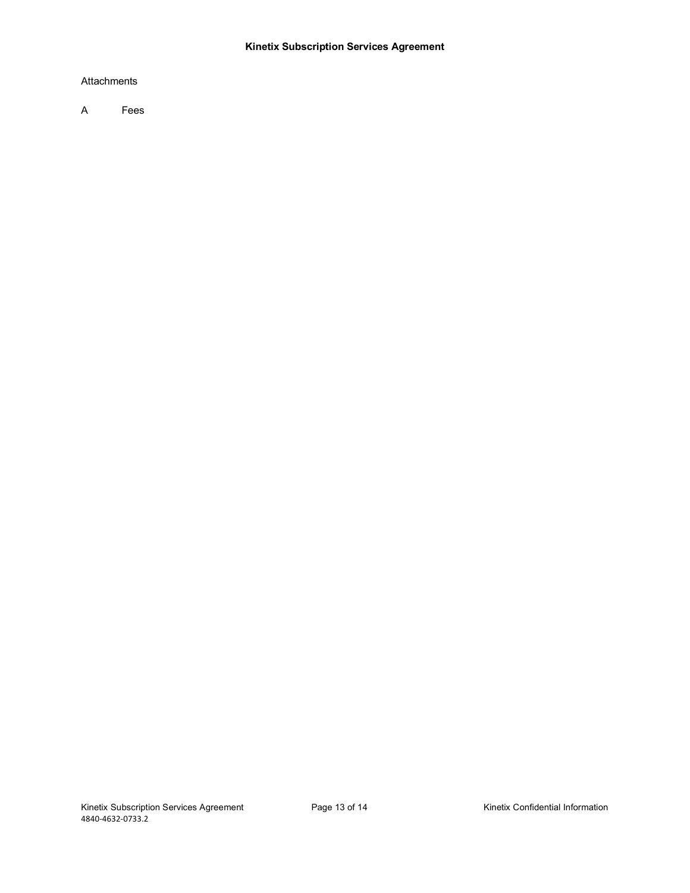## Attachments

A Fees